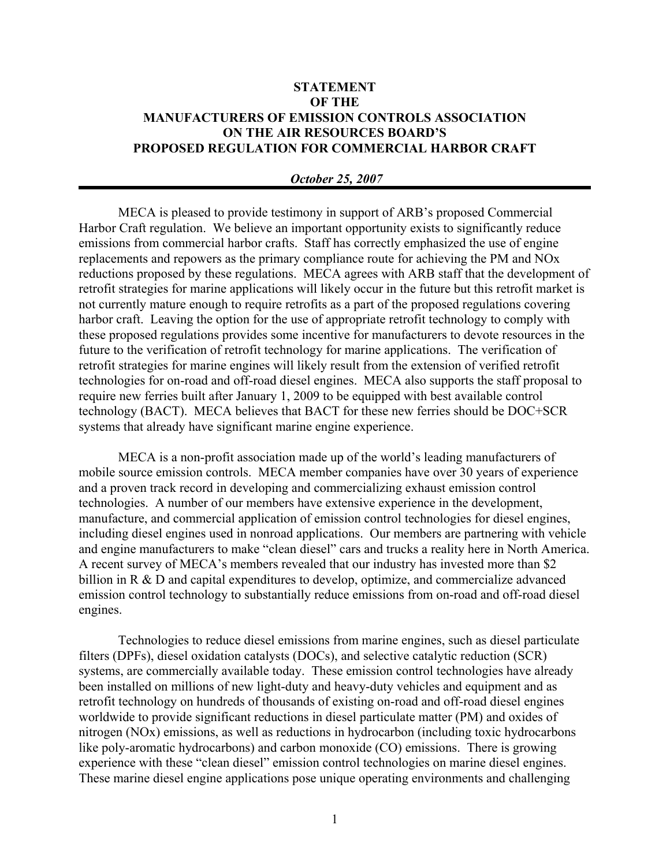## **STATEMENT OF THE MANUFACTURERS OF EMISSION CONTROLS ASSOCIATION ON THE AIR RESOURCES BOARD'S PROPOSED REGULATION FOR COMMERCIAL HARBOR CRAFT**

## *October 25, 2007*

MECA is pleased to provide testimony in support of ARB's proposed Commercial Harbor Craft regulation. We believe an important opportunity exists to significantly reduce emissions from commercial harbor crafts. Staff has correctly emphasized the use of engine replacements and repowers as the primary compliance route for achieving the PM and NOx reductions proposed by these regulations. MECA agrees with ARB staff that the development of retrofit strategies for marine applications will likely occur in the future but this retrofit market is not currently mature enough to require retrofits as a part of the proposed regulations covering harbor craft. Leaving the option for the use of appropriate retrofit technology to comply with these proposed regulations provides some incentive for manufacturers to devote resources in the future to the verification of retrofit technology for marine applications. The verification of retrofit strategies for marine engines will likely result from the extension of verified retrofit technologies for on-road and off-road diesel engines. MECA also supports the staff proposal to require new ferries built after January 1, 2009 to be equipped with best available control technology (BACT). MECA believes that BACT for these new ferries should be DOC+SCR systems that already have significant marine engine experience.

MECA is a non-profit association made up of the world's leading manufacturers of mobile source emission controls. MECA member companies have over 30 years of experience and a proven track record in developing and commercializing exhaust emission control technologies. A number of our members have extensive experience in the development, manufacture, and commercial application of emission control technologies for diesel engines, including diesel engines used in nonroad applications. Our members are partnering with vehicle and engine manufacturers to make "clean diesel" cars and trucks a reality here in North America. A recent survey of MECA's members revealed that our industry has invested more than \$2 billion in R & D and capital expenditures to develop, optimize, and commercialize advanced emission control technology to substantially reduce emissions from on-road and off-road diesel engines.

Technologies to reduce diesel emissions from marine engines, such as diesel particulate filters (DPFs), diesel oxidation catalysts (DOCs), and selective catalytic reduction (SCR) systems, are commercially available today. These emission control technologies have already been installed on millions of new light-duty and heavy-duty vehicles and equipment and as retrofit technology on hundreds of thousands of existing on-road and off-road diesel engines worldwide to provide significant reductions in diesel particulate matter (PM) and oxides of nitrogen (NOx) emissions, as well as reductions in hydrocarbon (including toxic hydrocarbons like poly-aromatic hydrocarbons) and carbon monoxide (CO) emissions. There is growing experience with these "clean diesel" emission control technologies on marine diesel engines. These marine diesel engine applications pose unique operating environments and challenging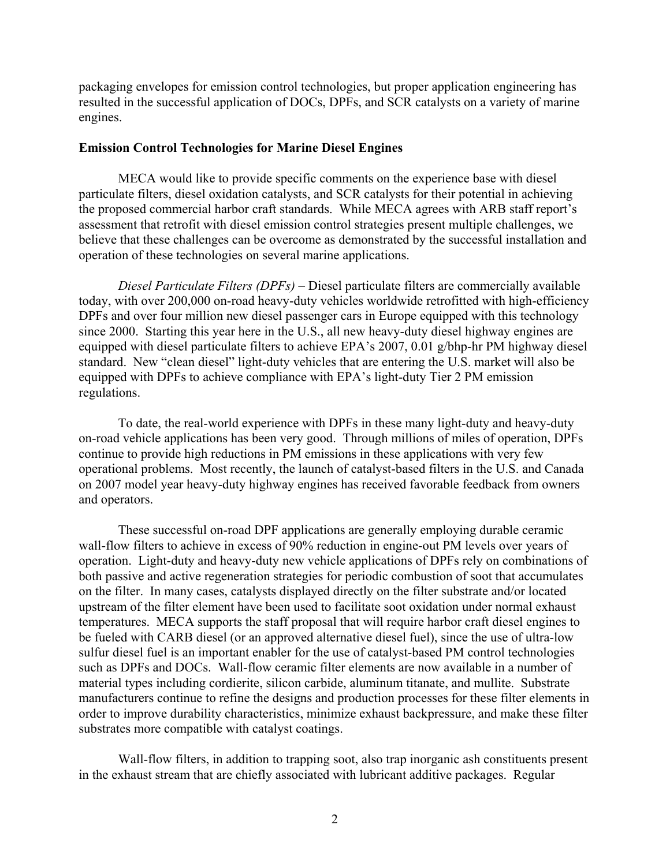packaging envelopes for emission control technologies, but proper application engineering has resulted in the successful application of DOCs, DPFs, and SCR catalysts on a variety of marine engines.

## **Emission Control Technologies for Marine Diesel Engines**

MECA would like to provide specific comments on the experience base with diesel particulate filters, diesel oxidation catalysts, and SCR catalysts for their potential in achieving the proposed commercial harbor craft standards. While MECA agrees with ARB staff report's assessment that retrofit with diesel emission control strategies present multiple challenges, we believe that these challenges can be overcome as demonstrated by the successful installation and operation of these technologies on several marine applications.

*Diesel Particulate Filters (DPFs) –* Diesel particulate filters are commercially available today, with over 200,000 on-road heavy-duty vehicles worldwide retrofitted with high-efficiency DPFs and over four million new diesel passenger cars in Europe equipped with this technology since 2000. Starting this year here in the U.S., all new heavy-duty diesel highway engines are equipped with diesel particulate filters to achieve EPA's 2007, 0.01 g/bhp-hr PM highway diesel standard. New "clean diesel" light-duty vehicles that are entering the U.S. market will also be equipped with DPFs to achieve compliance with EPA's light-duty Tier 2 PM emission regulations.

To date, the real-world experience with DPFs in these many light-duty and heavy-duty on-road vehicle applications has been very good. Through millions of miles of operation, DPFs continue to provide high reductions in PM emissions in these applications with very few operational problems. Most recently, the launch of catalyst-based filters in the U.S. and Canada on 2007 model year heavy-duty highway engines has received favorable feedback from owners and operators.

These successful on-road DPF applications are generally employing durable ceramic wall-flow filters to achieve in excess of 90% reduction in engine-out PM levels over years of operation. Light-duty and heavy-duty new vehicle applications of DPFs rely on combinations of both passive and active regeneration strategies for periodic combustion of soot that accumulates on the filter. In many cases, catalysts displayed directly on the filter substrate and/or located upstream of the filter element have been used to facilitate soot oxidation under normal exhaust temperatures. MECA supports the staff proposal that will require harbor craft diesel engines to be fueled with CARB diesel (or an approved alternative diesel fuel), since the use of ultra-low sulfur diesel fuel is an important enabler for the use of catalyst-based PM control technologies such as DPFs and DOCs. Wall-flow ceramic filter elements are now available in a number of material types including cordierite, silicon carbide, aluminum titanate, and mullite. Substrate manufacturers continue to refine the designs and production processes for these filter elements in order to improve durability characteristics, minimize exhaust backpressure, and make these filter substrates more compatible with catalyst coatings.

Wall-flow filters, in addition to trapping soot, also trap inorganic ash constituents present in the exhaust stream that are chiefly associated with lubricant additive packages. Regular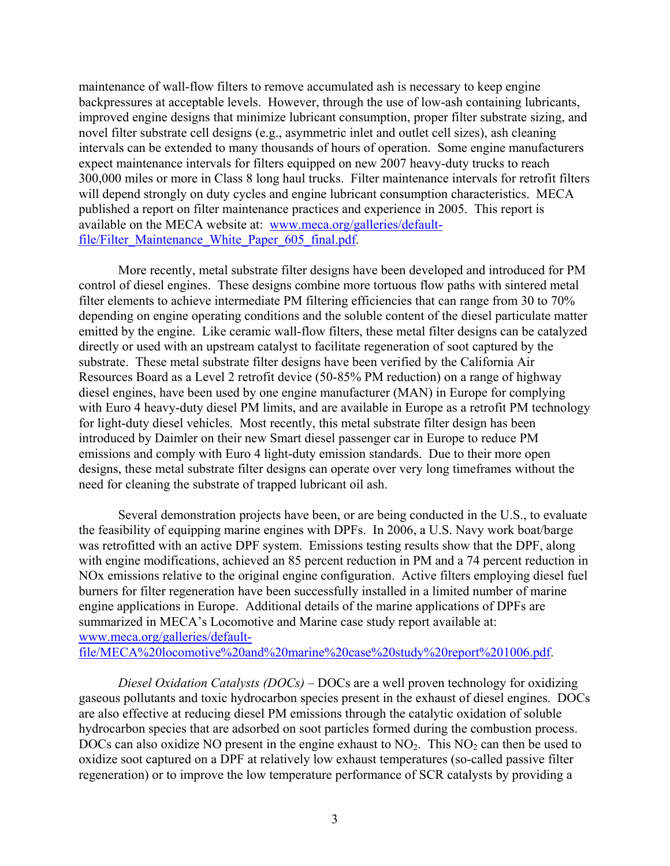maintenance of wall-flow filters to remove accumulated ash is necessary to keep engine backpressures at acceptable levels. However, through the use of low-ash containing lubricants, improved engine designs that minimize lubricant consumption, proper filter substrate sizing, and novel filter substrate cell designs (e.g., asymmetric inlet and outlet cell sizes), ash cleaning intervals can be extended to many thousands of hours of operation. Some engine manufacturers expect maintenance intervals for filters equipped on new 2007 heavy-duty trucks to reach 300,000 miles or more in Class 8 long haul trucks. Filter maintenance intervals for retrofit filters will depend strongly on duty cycles and engine lubricant consumption characteristics. MECA published a report on filter maintenance practices and experience in 2005. This report is available on the MECA website at: www.meca.org/galleries/defaultfile/Filter\_Maintenance\_White\_Paper\_605\_final.pdf.

More recently, metal substrate filter designs have been developed and introduced for PM control of diesel engines. These designs combine more tortuous flow paths with sintered metal filter elements to achieve intermediate PM filtering efficiencies that can range from 30 to 70% depending on engine operating conditions and the soluble content of the diesel particulate matter emitted by the engine. Like ceramic wall-flow filters, these metal filter designs can be catalyzed directly or used with an upstream catalyst to facilitate regeneration of soot captured by the substrate. These metal substrate filter designs have been verified by the California Air Resources Board as a Level 2 retrofit device (50-85% PM reduction) on a range of highway diesel engines, have been used by one engine manufacturer (MAN) in Europe for complying with Euro 4 heavy-duty diesel PM limits, and are available in Europe as a retrofit PM technology for light-duty diesel vehicles. Most recently, this metal substrate filter design has been introduced by Daimler on their new Smart diesel passenger car in Europe to reduce PM emissions and comply with Euro 4 light-duty emission standards. Due to their more open designs, these metal substrate filter designs can operate over very long timeframes without the need for cleaning the substrate of trapped lubricant oil ash.

Several demonstration projects have been, or are being conducted in the U.S., to evaluate the feasibility of equipping marine engines with DPFs. In 2006, a U.S. Navy work boat/barge was retrofitted with an active DPF system. Emissions testing results show that the DPF, along with engine modifications, achieved an 85 percent reduction in PM and a 74 percent reduction in NOx emissions relative to the original engine configuration. Active filters employing diesel fuel burners for filter regeneration have been successfully installed in a limited number of marine engine applications in Europe. Additional details of the marine applications of DPFs are summarized in MECA's Locomotive and Marine case study report available at: www.meca.org/galleries/default-

file/MECA%20locomotive%20and%20marine%20case%20study%20report%201006.pdf.

*Diesel Oxidation Catalysts (DOCs) –* DOCs are a well proven technology for oxidizing gaseous pollutants and toxic hydrocarbon species present in the exhaust of diesel engines. DOCs are also effective at reducing diesel PM emissions through the catalytic oxidation of soluble hydrocarbon species that are adsorbed on soot particles formed during the combustion process. DOCs can also oxidize NO present in the engine exhaust to  $NO<sub>2</sub>$ . This  $NO<sub>2</sub>$  can then be used to oxidize soot captured on a DPF at relatively low exhaust temperatures (so-called passive filter regeneration) or to improve the low temperature performance of SCR catalysts by providing a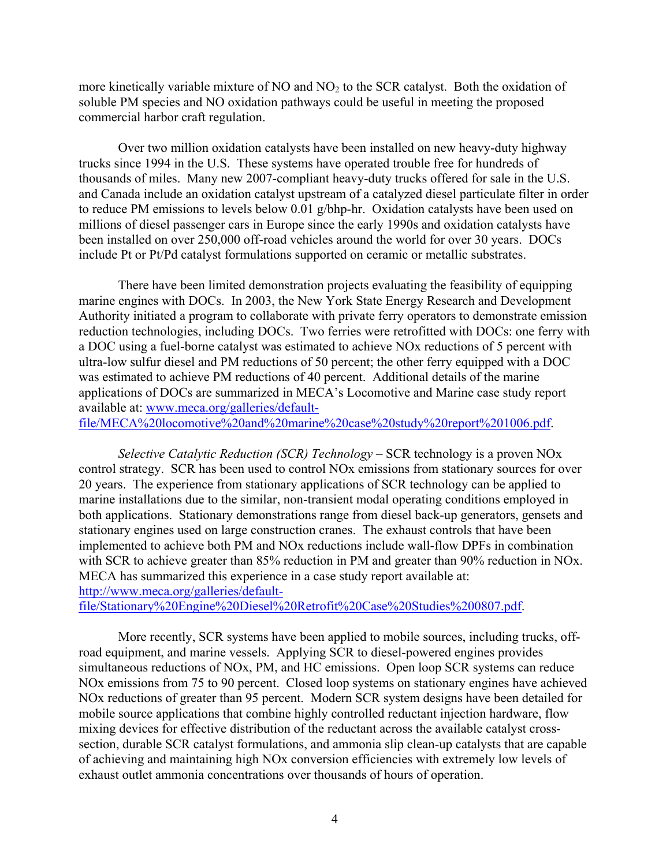more kinetically variable mixture of NO and  $NO<sub>2</sub>$  to the SCR catalyst. Both the oxidation of soluble PM species and NO oxidation pathways could be useful in meeting the proposed commercial harbor craft regulation.

Over two million oxidation catalysts have been installed on new heavy-duty highway trucks since 1994 in the U.S. These systems have operated trouble free for hundreds of thousands of miles. Many new 2007-compliant heavy-duty trucks offered for sale in the U.S. and Canada include an oxidation catalyst upstream of a catalyzed diesel particulate filter in order to reduce PM emissions to levels below 0.01 g/bhp-hr. Oxidation catalysts have been used on millions of diesel passenger cars in Europe since the early 1990s and oxidation catalysts have been installed on over 250,000 off-road vehicles around the world for over 30 years. DOCs include Pt or Pt/Pd catalyst formulations supported on ceramic or metallic substrates.

There have been limited demonstration projects evaluating the feasibility of equipping marine engines with DOCs. In 2003, the New York State Energy Research and Development Authority initiated a program to collaborate with private ferry operators to demonstrate emission reduction technologies, including DOCs. Two ferries were retrofitted with DOCs: one ferry with a DOC using a fuel-borne catalyst was estimated to achieve NOx reductions of 5 percent with ultra-low sulfur diesel and PM reductions of 50 percent; the other ferry equipped with a DOC was estimated to achieve PM reductions of 40 percent. Additional details of the marine applications of DOCs are summarized in MECA's Locomotive and Marine case study report available at: www.meca.org/galleries/defaultfile/MECA%20locomotive%20and%20marine%20case%20study%20report%201006.pdf.

*Selective Catalytic Reduction (SCR) Technology –* SCR technology is a proven NOx control strategy. SCR has been used to control NOx emissions from stationary sources for over 20 years. The experience from stationary applications of SCR technology can be applied to marine installations due to the similar, non-transient modal operating conditions employed in both applications. Stationary demonstrations range from diesel back-up generators, gensets and stationary engines used on large construction cranes. The exhaust controls that have been implemented to achieve both PM and NOx reductions include wall-flow DPFs in combination with SCR to achieve greater than 85% reduction in PM and greater than 90% reduction in NO<sub>x</sub>. MECA has summarized this experience in a case study report available at: http://www.meca.org/galleries/default-

file/Stationary%20Engine%20Diesel%20Retrofit%20Case%20Studies%200807.pdf.

More recently, SCR systems have been applied to mobile sources, including trucks, offroad equipment, and marine vessels. Applying SCR to diesel-powered engines provides simultaneous reductions of NOx, PM, and HC emissions. Open loop SCR systems can reduce NOx emissions from 75 to 90 percent. Closed loop systems on stationary engines have achieved NOx reductions of greater than 95 percent. Modern SCR system designs have been detailed for mobile source applications that combine highly controlled reductant injection hardware, flow mixing devices for effective distribution of the reductant across the available catalyst crosssection, durable SCR catalyst formulations, and ammonia slip clean-up catalysts that are capable of achieving and maintaining high NOx conversion efficiencies with extremely low levels of exhaust outlet ammonia concentrations over thousands of hours of operation.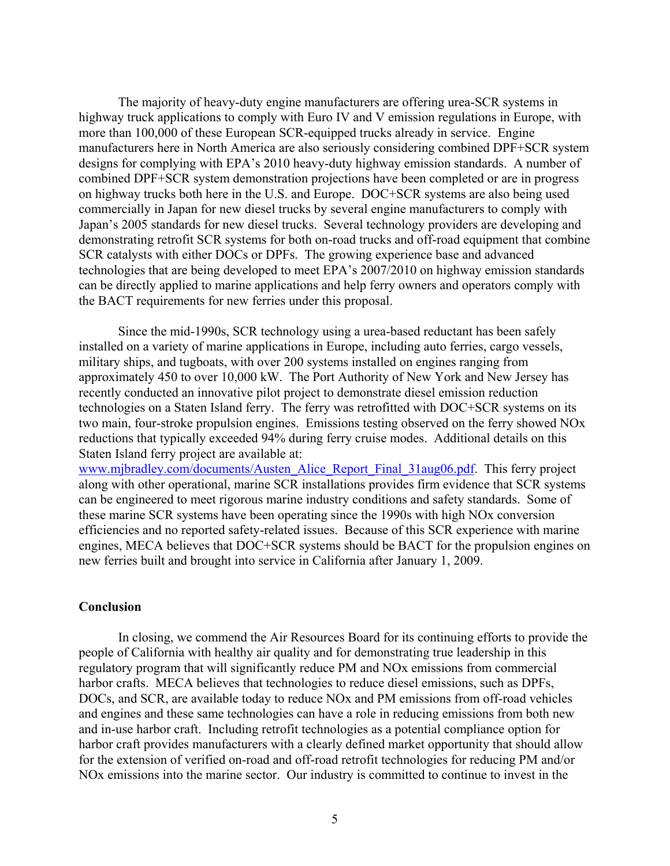The majority of heavy-duty engine manufacturers are offering urea-SCR systems in highway truck applications to comply with Euro IV and V emission regulations in Europe, with more than 100,000 of these European SCR-equipped trucks already in service. Engine manufacturers here in North America are also seriously considering combined DPF+SCR system designs for complying with EPA's 2010 heavy-duty highway emission standards. A number of combined DPF+SCR system demonstration projections have been completed or are in progress on highway trucks both here in the U.S. and Europe. DOC+SCR systems are also being used commercially in Japan for new diesel trucks by several engine manufacturers to comply with Japan's 2005 standards for new diesel trucks. Several technology providers are developing and demonstrating retrofit SCR systems for both on-road trucks and off-road equipment that combine SCR catalysts with either DOCs or DPFs. The growing experience base and advanced technologies that are being developed to meet EPA's 2007/2010 on highway emission standards can be directly applied to marine applications and help ferry owners and operators comply with the BACT requirements for new ferries under this proposal.

Since the mid-1990s, SCR technology using a urea-based reductant has been safely installed on a variety of marine applications in Europe, including auto ferries, cargo vessels, military ships, and tugboats, with over 200 systems installed on engines ranging from approximately 450 to over 10,000 kW. The Port Authority of New York and New Jersey has recently conducted an innovative pilot project to demonstrate diesel emission reduction technologies on a Staten Island ferry. The ferry was retrofitted with DOC+SCR systems on its two main, four-stroke propulsion engines. Emissions testing observed on the ferry showed NOx reductions that typically exceeded 94% during ferry cruise modes. Additional details on this Staten Island ferry project are available at:

www.mjbradley.com/documents/Austen\_Alice\_Report\_Final\_31aug06.pdf. This ferry project along with other operational, marine SCR installations provides firm evidence that SCR systems can be engineered to meet rigorous marine industry conditions and safety standards. Some of these marine SCR systems have been operating since the 1990s with high NOx conversion efficiencies and no reported safety-related issues. Because of this SCR experience with marine engines, MECA believes that DOC+SCR systems should be BACT for the propulsion engines on new ferries built and brought into service in California after January 1, 2009.

## **Conclusion**

In closing, we commend the Air Resources Board for its continuing efforts to provide the people of California with healthy air quality and for demonstrating true leadership in this regulatory program that will significantly reduce PM and NOx emissions from commercial harbor crafts. MECA believes that technologies to reduce diesel emissions, such as DPFs, DOCs, and SCR, are available today to reduce NOx and PM emissions from off-road vehicles and engines and these same technologies can have a role in reducing emissions from both new and in-use harbor craft. Including retrofit technologies as a potential compliance option for harbor craft provides manufacturers with a clearly defined market opportunity that should allow for the extension of verified on-road and off-road retrofit technologies for reducing PM and/or NOx emissions into the marine sector. Our industry is committed to continue to invest in the